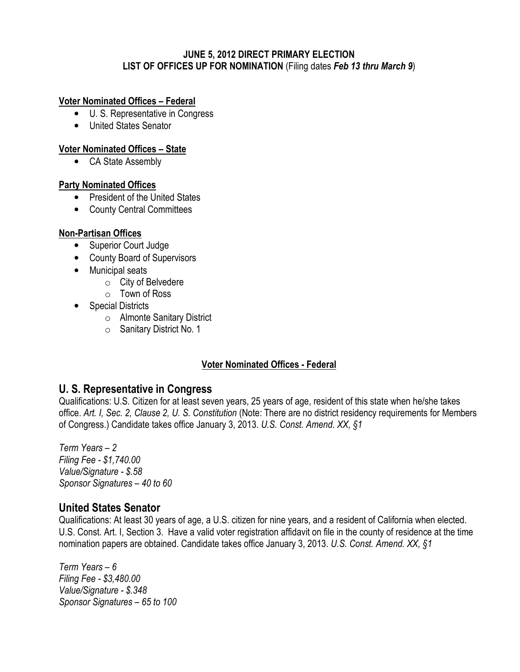### JUNE 5, 2012 DIRECT PRIMARY ELECTION LIST OF OFFICES UP FOR NOMINATION (Filing dates Feb 13 thru March 9)

### Voter Nominated Offices – Federal

- U. S. Representative in Congress
- United States Senator

### Voter Nominated Offices – State

• CA State Assembly

### Party Nominated Offices

- President of the United States
- County Central Committees

### Non-Partisan Offices

- Superior Court Judge
- County Board of Supervisors
- Municipal seats
	- o City of Belvedere
	- $\circ$  Town of Ross
- Special Districts
	- o Almonte Sanitary District
	- o Sanitary District No. 1

## Voter Nominated Offices - Federal

## U. S. Representative in Congress

Qualifications: U.S. Citizen for at least seven years, 25 years of age, resident of this state when he/she takes office. Art. I, Sec. 2, Clause 2, U. S. Constitution (Note: There are no district residency requirements for Members of Congress.) Candidate takes office January 3, 2013. U.S. Const. Amend. XX, §1

Term Years – 2 Filing Fee - \$1,740.00 Value/Signature - \$.58 Sponsor Signatures – 40 to 60

# United States Senator

Qualifications: At least 30 years of age, a U.S. citizen for nine years, and a resident of California when elected. U.S. Const. Art. I, Section 3. Have a valid voter registration affidavit on file in the county of residence at the time nomination papers are obtained. Candidate takes office January 3, 2013. U.S. Const. Amend. XX, §1

Term Years – 6 Filing Fee - \$3,480.00 Value/Signature - \$.348 Sponsor Signatures – 65 to 100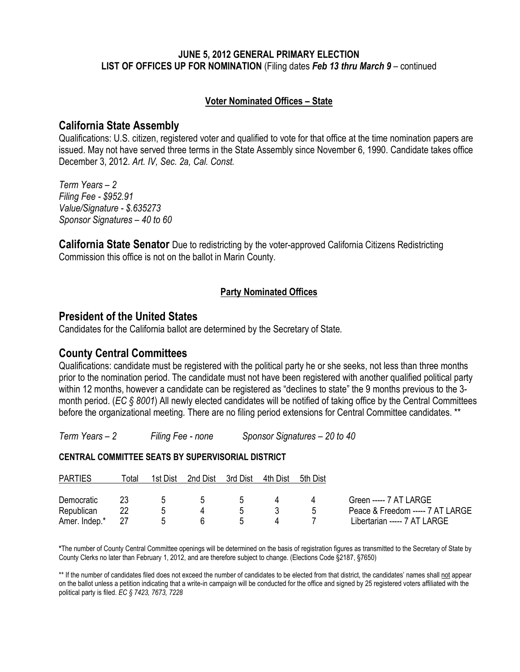### JUNE 5, 2012 GENERAL PRIMARY ELECTION LIST OF OFFICES UP FOR NOMINATION (Filing dates Feb 13 thru March 9 – continued

### Voter Nominated Offices – State

## California State Assembly

Qualifications: U.S. citizen, registered voter and qualified to vote for that office at the time nomination papers are issued. May not have served three terms in the State Assembly since November 6, 1990. Candidate takes office December 3, 2012. Art. IV, Sec. 2a, Cal. Const.

Term Years – 2 Filing Fee - \$952.91 Value/Signature - \$.635273 Sponsor Signatures – 40 to 60

**California State Senator** Due to redistricting by the voter-approved California Citizens Redistricting Commission this office is not on the ballot in Marin County.

## Party Nominated Offices

## President of the United States

Candidates for the California ballot are determined by the Secretary of State.

# County Central Committees

Qualifications: candidate must be registered with the political party he or she seeks, not less than three months prior to the nomination period. The candidate must not have been registered with another qualified political party within 12 months, however a candidate can be registered as "declines to state" the 9 months previous to the 3 month period. (EC § 8001) All newly elected candidates will be notified of taking office by the Central Committees before the organizational meeting. There are no filing period extensions for Central Committee candidates. \*\*

Term Years – 2 Filing Fee - none Sponsor Signatures – 20 to 40

#### CENTRAL COMMITTEE SEATS BY SUPERVISORIAL DISTRICT

| <b>PARTIES</b> | ⊺otal | 1st Dist | 2nd Dist      | 3rd Dist      | 4th Dist | 5th Dist     |                                  |
|----------------|-------|----------|---------------|---------------|----------|--------------|----------------------------------|
| Democratic     | 23    | <b>5</b> | $\mathcal{L}$ | $\mathcal{L}$ |          |              | Green ----- 7 AT LARGE           |
| Republican     |       |          |               |               |          | $\mathbf{h}$ | Peace & Freedom ----- 7 AT LARGE |
| Amer. Indep.*  |       |          |               |               |          |              | Libertarian ----- 7 AT LARGE     |

\*The number of County Central Committee openings will be determined on the basis of registration figures as transmitted to the Secretary of State by County Clerks no later than February 1, 2012, and are therefore subject to change. (Elections Code §2187, §7650)

\*\* If the number of candidates filed does not exceed the number of candidates to be elected from that district, the candidates' names shall not appear on the ballot unless a petition indicating that a write-in campaign will be conducted for the office and signed by 25 registered voters affiliated with the political party is filed. EC § 7423, 7673, 7228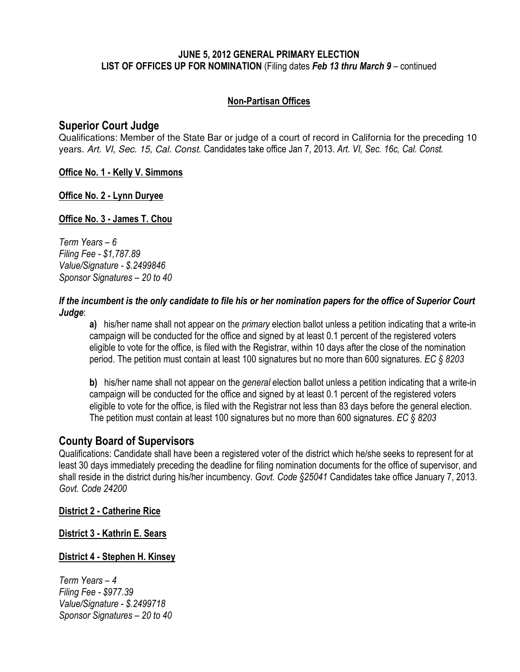### JUNE 5, 2012 GENERAL PRIMARY ELECTION LIST OF OFFICES UP FOR NOMINATION (Filing dates Feb 13 thru March 9 – continued

## Non-Partisan Offices

## Superior Court Judge

Qualifications: Member of the State Bar or judge of a court of record in California for the preceding 10 years. Art. VI, Sec. 15, Cal. Const. Candidates take office Jan 7, 2013. Art. VI, Sec. 16c, Cal. Const.

Office No. 1 - Kelly V. Simmons

## Office No. 2 - Lynn Duryee

## Office No. 3 - James T. Chou

Term Years – 6 Filing Fee - \$1,787.89 Value/Signature - \$.2499846 Sponsor Signatures – 20 to 40

### If the incumbent is the only candidate to file his or her nomination papers for the office of Superior Court Judge:

a) his/her name shall not appear on the *primary* election ballot unless a petition indicating that a write-in campaign will be conducted for the office and signed by at least 0.1 percent of the registered voters eligible to vote for the office, is filed with the Registrar, within 10 days after the close of the nomination period. The petition must contain at least 100 signatures but no more than 600 signatures. EC § 8203

b) his/her name shall not appear on the *general* election ballot unless a petition indicating that a write-in campaign will be conducted for the office and signed by at least 0.1 percent of the registered voters eligible to vote for the office, is filed with the Registrar not less than 83 days before the general election. The petition must contain at least 100 signatures but no more than 600 signatures. EC § 8203

# County Board of Supervisors

Qualifications: Candidate shall have been a registered voter of the district which he/she seeks to represent for at least 30 days immediately preceding the deadline for filing nomination documents for the office of supervisor, and shall reside in the district during his/her incumbency. Govt. Code §25041 Candidates take office January 7, 2013. Govt. Code 24200

#### District 2 - Catherine Rice

District 3 - Kathrin E. Sears

## District 4 - Stephen H. Kinsey

Term Years – 4 Filing Fee - \$977.39 Value/Signature - \$.2499718 Sponsor Signatures – 20 to 40